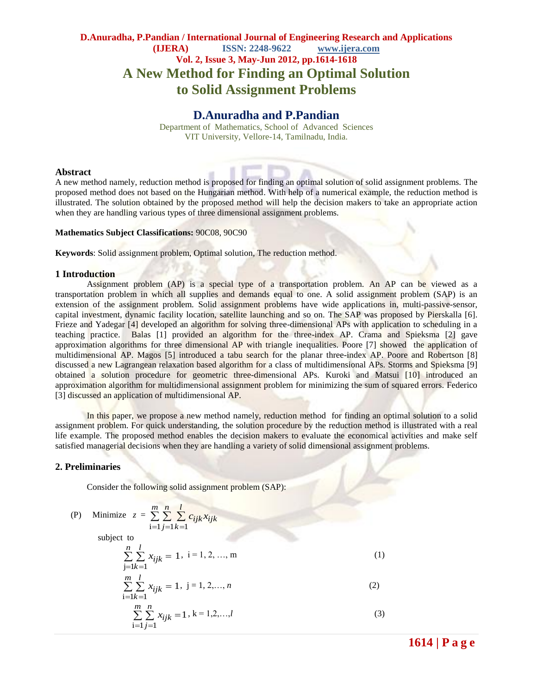# **D.Anuradha, P.Pandian / International Journal of Engineering Research and Applications (IJERA) ISSN: 2248-9622 www.ijera.com Vol. 2, Issue 3, May-Jun 2012, pp.1614-1618 A New Method for Finding an Optimal Solution to Solid Assignment Problems**

## **D.Anuradha and P.Pandian**

Department of Mathematics, School of Advanced Sciences VIT University, Vellore-14, Tamilnadu, India.

#### **Abstract**

A new method namely, reduction method is proposed for finding an optimal solution of solid assignment problems. The proposed method does not based on the Hungarian method. With help of a numerical example, the reduction method is illustrated. The solution obtained by the proposed method will help the decision makers to take an appropriate action when they are handling various types of three dimensional assignment problems.

#### **Mathematics Subject Classifications:** 90C08, 90C90

**Keywords**: Solid assignment problem, Optimal solution, The reduction method.

#### **1 Introduction**

Assignment problem (AP) is a special type of a transportation problem. An AP can be viewed as a transportation problem in which all supplies and demands equal to one. A solid assignment problem (SAP) is an extension of the assignment problem. Solid assignment problems have wide applications in, multi-passive-sensor, capital investment, dynamic facility location, satellite launching and so on. The SAP was proposed by Pierskalla [6]. Frieze and Yadegar [4] developed an algorithm for solving three-dimensional APs with application to scheduling in a teaching practice. Balas [1] provided an algorithm for the three-index AP. Crama and Spieksma [2] gave approximation algorithms for three dimensional AP with triangle inequalities. Poore [7] showed the application of multidimensional AP. Magos [5] introduced a tabu search for the planar three-index AP. Poore and Robertson [8] discussed a new Lagrangean relaxation based algorithm for a class of multidimensional APs. Storms and Spieksma [9] obtained a solution procedure for geometric three-dimensional APs. Kuroki and Matsui [10] introduced an approximation algorithm for multidimensional assignment problem for minimizing the sum of squared errors. Federico [3] discussed an application of multidimensional AP.

In this paper, we propose a new method namely, reduction method for finding an optimal solution to a solid assignment problem. For quick understanding, the solution procedure by the reduction method is illustrated with a real life example. The proposed method enables the decision makers to evaluate the economical activities and make self satisfied managerial decisions when they are handling a variety of solid dimensional assignment problems.

#### **2. Preliminaries**

Consider the following solid assignment problem (SAP):

(P) Minimize 
$$
z = \sum_{i=1}^{m} \sum_{j=1}^{n} \sum_{k=1}^{l} c_{ijk} x_{ijk}
$$

subject to

$$
\sum_{j=1}^{n} \sum_{k=1}^{l} x_{ijk} = 1, i = 1, 2, ..., m
$$
 (1)

$$
\sum_{i=1}^{m} \sum_{k=1}^{l} x_{ijk} = 1, j = 1, 2, ..., n
$$
\n
$$
\sum_{i=1}^{m} \sum_{j=1}^{n} x_{ijk} = 1, k = 1, 2, ..., l
$$
\n(3)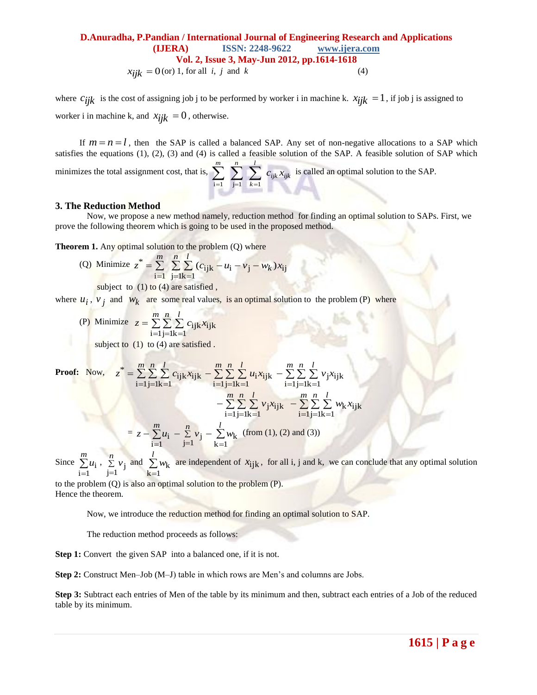## **D.Anuradha, P.Pandian / International Journal of Engineering Research and Applications (IJERA) ISSN: 2248-9622 www.ijera.com Vol. 2, Issue 3, May-Jun 2012, pp.1614-1618**  $x_{ijk} = 0$  (or) 1, for all *i*, *j* and *k* (4)

where  $c_{ijk}$  is the cost of assigning job j to be performed by worker i in machine k.  $x_{ijk} = 1$ , if job j is assigned to worker i in machine k, and  $x_{ijk} = 0$ , otherwise.

If  $m = n = l$ , then the SAP is called a balanced SAP. Any set of non-negative allocations to a SAP which satisfies the equations  $(1)$ ,  $(2)$ ,  $(3)$  and  $(4)$  is called a feasible solution of the SAP. A feasible solution of SAP which *l*

minimizes the total assignment cost, that is,  $\sum_{i,j} \sum_{i,j} \sum_{i,j,k} x_{ijk} x_{ijk}$ *k*  $\sum_{i=1}^{m} \sum_{j=1}^{n} \sum_{k=1}^{l} c_{ijk} x$ is called an optimal solution to the SAP.

#### **3. The Reduction Method**

Now, we propose a new method namely, reduction method for finding an optimal solution to SAPs. First, we prove the following theorem which is going to be used in the proposed method.

**Theorem 1.** Any optimal solution to the problem (Q) where

(Q) Minimize 
$$
z^* = \sum_{i=1}^m \sum_{j=1}^n \sum_{k=1}^l (c_{ijk} - u_i - v_j - w_k)x_{ij}
$$

subject to  $(1)$  to  $(4)$  are satisfied,

where  $u_i$ ,  $v_j$  and  $w_k$  are some real values, is an optimal solution to the problem (P) where

(P) Minimize  $z = \sum \sum \sum$  $=1$ j=1k=  $=$ *m n l*  $z = \sum \sum \sum c_{ijk}x$  $i = 1 j = 1 k = 1$ ijk $x_{\rm jk}$ 

subject to  $(1)$  to  $(4)$  are satisfied.

**Proof:** Now, *m n l z c x* i 1j 1k 1 ijk ijk \* *m n l u x* i 1j 1k 1 <sup>i</sup> ijk *m n l v x* i 1j 1k 1 j ijk *m n l v x* i 1j 1k 1 <sup>j</sup> ijk *m n l w x* i 1j 1k 1 k ijk = *m z u* i 1 i *n v* j 1 <sup>j</sup> *l w* k 1 k (from (1), (2) and (3))

Since  $\sum$ = *m u*  $i = 1$  $\sum$  $=$ *n v*  $\sum_{j=1}^{n} v_j$  and  $\sum_{k=1}^{n}$ = *l w*  $k = 1$  $k<sub>k</sub>$  are independent of  $x_{ijk}$ , for all i, j and k, we can conclude that any optimal solution

to the problem (Q) is also an optimal solution to the problem (P). Hence the theorem.

Now, we introduce the reduction method for finding an optimal solution to SAP.

The reduction method proceeds as follows:

**Step 1:** Convert the given SAP into a balanced one, if it is not.

**Step 2:** Construct Men–Job (M–J) table in which rows are Men's and columns are Jobs.

**Step 3:** Subtract each entries of Men of the table by its minimum and then, subtract each entries of a Job of the reduced table by its minimum.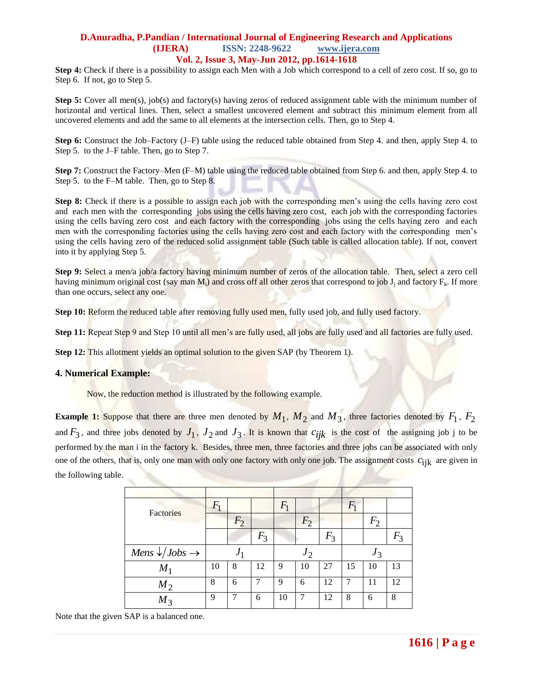### **D.Anuradha, P.Pandian / International Journal of Engineering Research and Applications (IJERA) ISSN: 2248-9622 www.ijera.com Vol. 2, Issue 3, May-Jun 2012, pp.1614-1618**

**Step 4:** Check if there is a possibility to assign each Men with a Job which correspond to a cell of zero cost. If so, go to Step 6. If not, go to Step 5.

**Step 5:** Cover all men(s), job(s) and factory(s) having zeros of reduced assignment table with the minimum number of horizontal and vertical lines. Then, select a smallest uncovered element and subtract this minimum element from all uncovered elements and add the same to all elements at the intersection cells. Then, go to Step 4.

**Step 6:** Construct the Job–Factory (J–F) table using the reduced table obtained from Step 4. and then, apply Step 4. to Step 5. to the J–F table. Then, go to Step 7.

**Step 7:** Construct the Factory–Men (F–M) table using the reduced table obtained from Step 6. and then, apply Step 4. to Step 5. to the F–M table. Then, go to Step 8.

**Step 8:** Check if there is a possible to assign each job with the corresponding men's using the cells having zero cost and each men with the corresponding jobs using the cells having zero cost, each job with the corresponding factories using the cells having zero cost and each factory with the corresponding jobs using the cells having zero and each men with the corresponding factories using the cells having zero cost and each factory with the corresponding men's using the cells having zero of the reduced solid assignment table (Such table is called allocation table). If not, convert into it by applying Step 5.

**Step 9:** Select a men/a job/a factory having minimum number of zeros of the allocation table. Then, select a zero cell having minimum original cost (say man  $M_i$ ) and cross off all other zeros that correspond to job  $J_i$  and factory  $F_k$ . If more than one occurs, select any one.

**Step 10:** Reform the reduced table after removing fully used men, fully used job, and fully used factory.

**Step 11:** Repeat Step 9 and Step 10 until all men's are fully used, all jobs are fully used and all factories are fully used.

**Step 12:** This allotment yields an optimal solution to the given SAP (by Theorem 1).

#### **4. Numerical Example:**

Now, the reduction method is illustrated by the following example.

**Example 1:** Suppose that there are three men denoted by  $M_1$ ,  $M_2$  and  $M_3$ , three factories denoted by  $F_1$ ,  $F_2$ and  $F_3$ , and three jobs denoted by  $J_1$ ,  $J_2$  and  $J_3$ . It is known that  $c_{ijk}$  is the cost of the assigning job j to be performed by the man i in the factory k. Besides, three men, three factories and three jobs can be associated with only one of the others, that is, only one man with only one factory with only one job. The assignment costs  $c_{ijk}$  are given in the following table.

| <b>Factories</b>                          | $F_1$          |       |       | $F_1$ |                |       | $\,_1$ |       |       |  |
|-------------------------------------------|----------------|-------|-------|-------|----------------|-------|--------|-------|-------|--|
|                                           |                | $F_2$ |       |       | F <sub>2</sub> |       |        | $F_2$ |       |  |
|                                           |                |       | $F_3$ |       |                | $F_3$ |        |       | $F_3$ |  |
| Mens $\sqrt{J}$ <i>Jobs</i> $\rightarrow$ | J <sub>1</sub> |       |       | $J_2$ |                |       | $J_3$  |       |       |  |
| $M_1$                                     | 10             | 8     | 12    | 9     | 10             | 27    | 15     | 10    | 13    |  |
| $M_2$                                     | 8              | 6     | 7     | 9     | 6              | 12    | 7      | 11    | 12    |  |
| $M_3$                                     | 9              | 7     | 6     | 10    | 7              | 12    | 8      | 6     | 8     |  |

Note that the given SAP is a balanced one.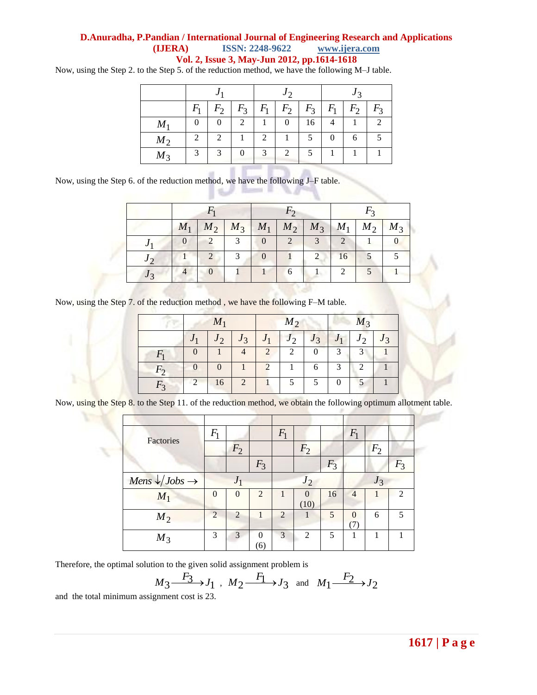## **D.Anuradha, P.Pandian / International Journal of Engineering Research and Applications (IJERA) ISSN: 2248-9622 www.ijera.com Vol. 2, Issue 3, May-Jun 2012, pp.1614-1618**

Now, using the Step 2. to the Step 5. of the reduction method, we have the following M–J table.

|       | J     |                |                |       | $J \gamma$                  |       | J <sub>2</sub> |       |                  |
|-------|-------|----------------|----------------|-------|-----------------------------|-------|----------------|-------|------------------|
|       | $F_1$ | $F_2$          | $F_3$          | $F_1$ | $F_2$                       | $F_3$ | $F_1$          | $F_2$ | $F_{\mathsf{3}}$ |
| $M_1$ |       |                | $\overline{c}$ |       |                             | 16    |                |       |                  |
| $M_2$ | 2     | $\overline{2}$ |                | 2     |                             |       |                | 6     |                  |
| $M_3$ | 3     | 3              |                | 3     | $\mathcal{D}_{\mathcal{L}}$ |       |                |       |                  |

**Barnett M.** 

Now, using the Step 6. of the reduction method, we have the following J–F table.

w

| $M_1$ |            |               |      |                |                             | $M_2$   $M_3$   $M_1$   $M_2$   $M_3$   $M_1$   $M_2$ | $M_3$ |
|-------|------------|---------------|------|----------------|-----------------------------|-------------------------------------------------------|-------|
|       | $\bigcirc$ | $\mathcal{R}$ | $-2$ | $\overline{3}$ | $\mathcal{L}$               |                                                       |       |
|       |            |               |      |                | 16                          |                                                       |       |
|       |            |               |      |                | $\mathcal{D}_{\mathcal{L}}$ |                                                       |       |

76. ZD

Now, using the Step 7. of the reduction method , we have the following F–M table.

|         | $M_1$                       |          |                |                             | $M_2$               |                | $M_3$ |                |  |
|---------|-----------------------------|----------|----------------|-----------------------------|---------------------|----------------|-------|----------------|--|
|         | J <sub>1</sub>              | $J_2$    | $J_3$          | J <sub>1</sub>              | $\overline{2}$<br>J | J <sub>3</sub> |       | $\overline{2}$ |  |
|         | $\Omega$                    |          |                | $\overline{2}$              | 2                   | 0              | 3     | $\mathcal{R}$  |  |
| $F_{2}$ | $\Omega$                    | $\Omega$ |                | $\mathcal{D}_{\mathcal{L}}$ |                     | 6              | 3     | 2              |  |
| $F_{2}$ | $\mathcal{D}_{\mathcal{L}}$ | 16       | $\overline{2}$ |                             |                     |                |       |                |  |

Now, using the Step 8. to the Step 11. of the reduction method, we obtain the following optimum allotment table.

| Factories                      | $F_1$    |          |                | $F_1$          |                  |       | $F_1$          |                |       |  |
|--------------------------------|----------|----------|----------------|----------------|------------------|-------|----------------|----------------|-------|--|
|                                |          | $F_2$    |                |                | F <sub>2</sub>   |       |                | F <sub>2</sub> |       |  |
|                                |          |          | $F_3$          |                |                  | $F_3$ |                |                | $F_3$ |  |
| Mens $\sqrt{Jobs} \rightarrow$ |          |          |                | $J_2$          |                  |       | $J_3$          |                |       |  |
| $M_1$                          | $\Omega$ | $\Omega$ | $\overline{2}$ |                | $\Omega$<br>(10) | 16    | $\overline{4}$ |                | 2     |  |
| $M_2$                          | 2        | 2        | 1              | $\overline{2}$ |                  | 5     | $\Omega$       | 6              | 5     |  |
| $M_3$                          | 3        | 3        | $\Omega$<br>6) | 3              | 2                | 5     |                |                |       |  |

Therefore, the optimal solution to the given solid assignment problem is

$$
M_3 \xrightarrow{F_3} J_1
$$
,  $M_2 \xrightarrow{F_1} J_3$  and  $M_1 \xrightarrow{F_2} J_2$ 

and the total minimum assignment cost is 23.